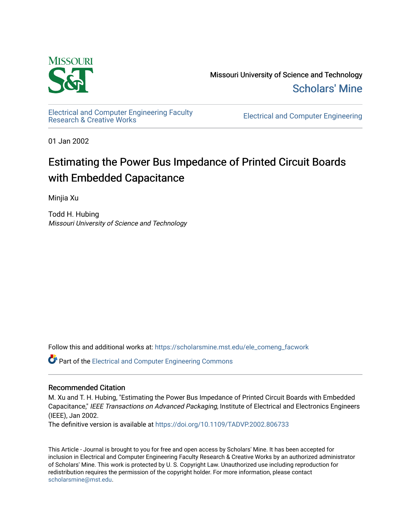

Missouri University of Science and Technology [Scholars' Mine](https://scholarsmine.mst.edu/) 

[Electrical and Computer Engineering Faculty](https://scholarsmine.mst.edu/ele_comeng_facwork)

**Electrical and Computer Engineering** 

01 Jan 2002

# Estimating the Power Bus Impedance of Printed Circuit Boards with Embedded Capacitance

Minjia Xu

Todd H. Hubing Missouri University of Science and Technology

Follow this and additional works at: [https://scholarsmine.mst.edu/ele\\_comeng\\_facwork](https://scholarsmine.mst.edu/ele_comeng_facwork?utm_source=scholarsmine.mst.edu%2Fele_comeng_facwork%2F1024&utm_medium=PDF&utm_campaign=PDFCoverPages)

**C** Part of the Electrical and Computer Engineering Commons

## Recommended Citation

M. Xu and T. H. Hubing, "Estimating the Power Bus Impedance of Printed Circuit Boards with Embedded Capacitance," IEEE Transactions on Advanced Packaging, Institute of Electrical and Electronics Engineers (IEEE), Jan 2002.

The definitive version is available at <https://doi.org/10.1109/TADVP.2002.806733>

This Article - Journal is brought to you for free and open access by Scholars' Mine. It has been accepted for inclusion in Electrical and Computer Engineering Faculty Research & Creative Works by an authorized administrator of Scholars' Mine. This work is protected by U. S. Copyright Law. Unauthorized use including reproduction for redistribution requires the permission of the copyright holder. For more information, please contact [scholarsmine@mst.edu.](mailto:scholarsmine@mst.edu)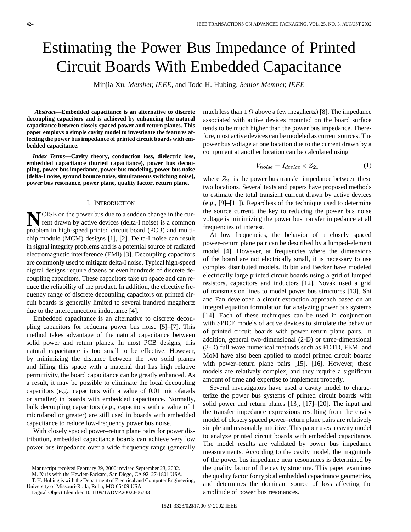# Estimating the Power Bus Impedance of Printed Circuit Boards With Embedded Capacitance

Minjia Xu*, Member, IEEE,* and Todd H. Hubing*, Senior Member, IEEE*

*Abstract—***Embedded capacitance is an alternative to discrete decoupling capacitors and is achieved by enhancing the natural capacitance between closely spaced power and return planes. This paper employs a simple cavity model to investigate the features affecting the power bus impedance of printed circuit boards with embedded capacitance.**

*Index Terms—***Cavity theory, conduction loss, dielectric loss, embedded capacitance (buried capacitance), power bus decoupling, power bus impedance, power bus modeling, power bus noise (delta-I noise, ground bounce noise, simultaneous switching noise), power bus resonance, power plane, quality factor, return plane.**

#### I. INTRODUCTION

**N**OISE on the power bus due to a sudden change in the current drawn by active devices (delta-I noise) is a common problem in high-speed printed circuit board (PCB) and multichip module (MCM) designs [1], [2]. Delta-I noise can result in signal integrity problems and is a potential source of radiated electromagnetic interference (EMI) [3]. Decoupling capacitors are commonly used to mitigate delta-I noise. Typical high-speed digital designs require dozens or even hundreds of discrete decoupling capacitors. These capacitors take up space and can reduce the reliability of the product. In addition, the effective frequency range of discrete decoupling capacitors on printed circuit boards is generally limited to several hundred megahertz due to the interconnection inductance [4].

Embedded capacitance is an alternative to discrete decoupling capacitors for reducing power bus noise [5]–[7]. This method takes advantage of the natural capacitance between solid power and return planes. In most PCB designs, this natural capacitance is too small to be effective. However, by minimizing the distance between the two solid planes and filling this space with a material that has high relative permittivity, the board capacitance can be greatly enhanced. As a result, it may be possible to eliminate the local decoupling capacitors (e.g., capacitors with a value of 0.01 microfarads or smaller) in boards with embedded capacitance. Normally, bulk decoupling capacitors (e.g., capacitors with a value of 1 microfarad or greater) are still used in boards with embedded capacitance to reduce low-frequency power bus noise.

With closely spaced power–return plane pairs for power distribution, embedded capacitance boards can achieve very low power bus impedance over a wide frequency range (generally

Manuscript received February 29, 2000; revised September 23, 2002.

M. Xu is with the Hewlett-Packard, San Diego, CA 92127-1801 USA.

T. H. Hubing is with the Department of Electrical and Computer Engineering, University of Missouri-Rolla, Rolla, MO 65409 USA.

Digital Object Identifier 10.1109/TADVP.2002.806733

much less than 1  $\Omega$  above a few megahertz) [8]. The impedance associated with active devices mounted on the board surface tends to be much higher than the power bus impedance. Therefore, most active devices can be modeled as current sources. The power bus voltage at one location due to the current drawn by a component at another location can be calculated using

$$
V_{noise} = I_{device} \times Z_{21} \tag{1}
$$

where  $Z_{21}$  is the power bus transfer impedance between these two locations. Several texts and papers have proposed methods to estimate the total transient current drawn by active devices (e.g., [9]–[11]). Regardless of the technique used to determine the source current, the key to reducing the power bus noise voltage is minimizing the power bus transfer impedance at all frequencies of interest.

At low frequencies, the behavior of a closely spaced power–return plane pair can be described by a lumped-element model [4]. However, at frequencies where the dimensions of the board are not electrically small, it is necessary to use complex distributed models. Rubin and Becker have modeled electrically large printed circuit boards using a grid of lumped resistors, capacitors and inductors [12]. Novak used a grid of transmission lines to model power bus structures [13]. Shi and Fan developed a circuit extraction approach based on an integral equation formulation for analyzing power bus systems [14]. Each of these techniques can be used in conjunction with SPICE models of active devices to simulate the behavior of printed circuit boards with power–return plane pairs. In addition, general two-dimensional (2-D) or three-dimensional (3-D) full wave numerical methods such as FDTD, FEM, and MoM have also been applied to model printed circuit boards with power–return plane pairs [15], [16]. However, these models are relatively complex, and they require a significant amount of time and expertise to implement properly.

Several investigators have used a cavity model to characterize the power bus systems of printed circuit boards with solid power and return planes [13], [17]–[20]. The input and the transfer impedance expressions resulting from the cavity model of closely spaced power–return plane pairs are relatively simple and reasonably intuitive. This paper uses a cavity model to analyze printed circuit boards with embedded capacitance. The model results are validated by power bus impedance measurements. According to the cavity model, the magnitude of the power bus impedance near resonances is determined by the quality factor of the cavity structure. This paper examines the quality factor for typical embedded capacitance geometries, and determines the dominant source of loss affecting the amplitude of power bus resonances.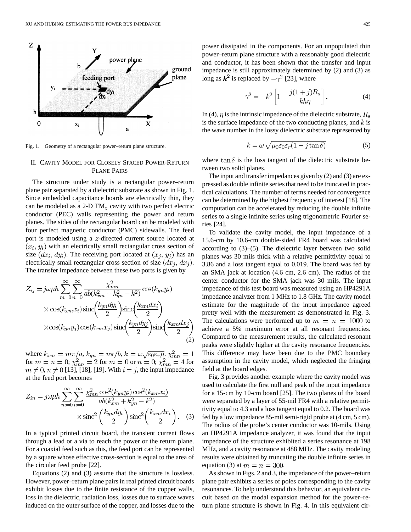

Fig. 1. Geometry of a rectangular power–return plane structure.

#### II. CAVITY MODEL FOR CLOSELY SPACED POWER-RETURN PLANE PAIRS

The structure under study is a rectangular power–return plane pair separated by a dielectric substrate as shown in Fig. 1. Since embedded capacitance boards are electrically thin, they can be modeled as a 2-D  $TM_z$  cavity with two perfect electric conductor (PEC) walls representing the power and return planes. The sides of the rectangular board can be modeled with four perfect magnetic conductor (PMC) sidewalls. The feed port is modeled using a  $z$ -directed current source located at  $(x_i, y_i)$  with an electrically small rectangular cross section of size  $(dx_i, dy_i)$ . The receiving port located at  $(x_j, y_j)$  has an electrically small rectangular cross section of size  $(dx_i, dx_j)$ . The transfer impedance between these two ports is given by

$$
Z_{ij} = j\omega\mu h \sum_{m=0}^{\infty} \sum_{n=0}^{\infty} \frac{\chi_{mn}^2}{ab(k_{xm}^2 + k_{yn}^2 - k^2)} \cos(k_{yn}y_i)
$$
  
 
$$
\times \cos(k_{xm}x_i) \sin\left(\frac{k_{yn}dy_i}{2}\right) \sin\left(\frac{k_{xm}dx_i}{2}\right)
$$
  
 
$$
\times \cos(k_{yn}y_j) \cos(k_{xm}x_j) \sin\left(\frac{k_{yn}dy_j}{2}\right) \sin\left(\frac{k_{xm}dx_j}{2}\right)
$$
(2)

where  $k_{xm} = m\pi/a$ ,  $k_{yn} = n\pi/b$ ,  $k = \omega \sqrt{\epsilon_0 \epsilon_r \mu}$ . for  $m = n = 0$ ;  $\chi^{2}_{mn} = 2$  for  $m = 0$  or  $n = 0$ ;  $\chi^{2}_{mn} = 4$  for  $m \neq 0, n \neq 0$  [13], [18], [19]. With  $i = j$ , the input impedance at the feed port becomes

$$
Z_{in} = j\omega\mu h \sum_{m=0}^{\infty} \sum_{n=0}^{\infty} \frac{\chi_{mn}^2 \cos^2(k_{yn} y_i) \cos^2(k_{xm} x_i)}{ab(k_{xm}^2 + k_{yn}^2 - k^2)} \times \operatorname{sinc}^2\left(\frac{k_{ym} dy_i}{2}\right) \operatorname{sinc}^2\left(\frac{k_{xm} dx_i}{2}\right). \tag{3}
$$

In a typical printed circuit board, the transient current flows through a lead or a via to reach the power or the return plane. For a coaxial feed such as this, the feed port can be represented by a square whose effective cross-section is equal to the area of the circular feed probe [22].

Equations (2) and (3) assume that the structure is lossless. However, power–return plane pairs in real printed circuit boards exhibit losses due to the finite resistance of the copper walls, loss in the dielectric, radiation loss, losses due to surface waves induced on the outer surface of the copper, and losses due to the power dissipated in the components. For an unpopulated thin power–return plane structure with a reasonably good dielectric and conductor, it has been shown that the transfer and input impedance is still approximately determined by (2) and (3) as long as  $k^2$  is replaced by  $-\gamma^2$  [23], where

$$
\gamma^2 = -k^2 \left[ 1 - \frac{j(1+j)R_s}{kh\eta} \right].
$$
\n(4)

In (4),  $\eta$  is the intrinsic impedance of the dielectric substrate,  $R_s$ is the surface impedance of the two conducting planes, and  $k$  is the wave number in the lossy dielectric substrate represented by

$$
k = \omega \sqrt{\mu_0 \varepsilon_0 \varepsilon_r (1 - j \tan \delta)} \tag{5}
$$

where  $\tan \delta$  is the loss tangent of the dielectric substrate between two solid planes.

The input and transfer impedances given by (2) and (3) are expressed as double infinite series that need to be truncated in practical calculations. The number of terms needed for convergence can be determined by the highest frequency of interest [18]. The computation can be accelerated by reducing the double infinite series to a single infinite series using trigonometric Fourier series [24].

To validate the cavity model, the input impedance of a 15.6-cm by 10.6-cm double-sided FR4 board was calculated according to (3)–(5). The dielectric layer between two solid planes was 30 mils thick with a relative permittivity equal to 3.86 and a loss tangent equal to 0.019. The board was fed by an SMA jack at location (4.6 cm, 2.6 cm). The radius of the center conductor for the SMA jack was 30 mils. The input impedance of this test board was measured using an HP4291A impedance analyzer from 1 MHz to 1.8 GHz. The cavity model estimate for the magnitude of the input impedance agreed pretty well with the measurement as demonstrated in Fig. 3. The calculations were performed up to  $m = n = 1000$  to achieve a 5% maximum error at all resonant frequencies. Compared to the measurement results, the calculated resonant peaks were slightly higher at the cavity resonance frequencies. This difference may have been due to the PMC boundary assumption in the cavity model, which neglected the fringing field at the board edges.

Fig. 3 provides another example where the cavity model was used to calculate the first null and peak of the input impedance for a 15-cm by 10-cm board [25]. The two planes of the board were separated by a layer of 55-mil FR4 with a relative permittivity equal to 4.3 and a loss tangent equal to 0.2. The board was fed by a low impedance 85-mil semi-rigid probe at (4 cm, 5 cm). The radius of the probe's center conductor was 10-mils. Using an HP4291A impedance analyzer, it was found that the input impedance of the structure exhibited a series resonance at 198 MHz, and a cavity resonance at 488 MHz. The cavity modeling results were obtained by truncating the double infinite series in equation (3) at  $m = n = 300$ .

As shown in Figs. 2 and 3, the impedance of the power–return plane pair exhibits a series of poles corresponding to the cavity resonances. To help understand this behavior, an equivalent circuit based on the modal expansion method for the power–return plane structure is shown in Fig. 4. In this equivalent cir-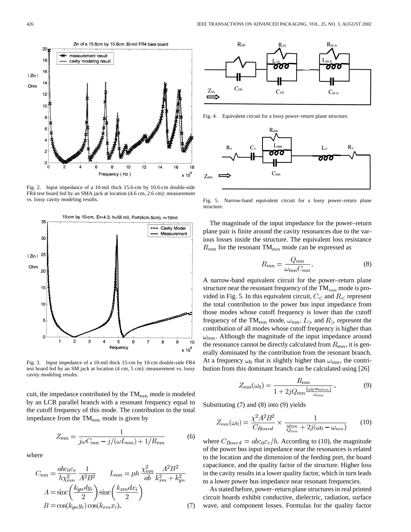

Fig. 2. Input impedance of a 10-mil thick 15.6-cm by 10.6-cm double-side FR4 test board fed by an SMA jack at location (4.6 cm, 2.6 cm): measurement vs. lossy cavity modeling results.



Fig. 3. Input impedance of a 10-mil thick 15-cm by 10-cm double-side FR4 test board fed by an SM jack at location (4 cm, 5 cm): measurement vs. lossy cavity modeling results.

cuit, the impedance contributed by the  $TM_{mn}$  mode is modeled by an LCR parallel branch with a resonant frequency equal to the cutoff frequency of this mode. The contribution to the total impedance from the  $TM_{mn}$  mode is given by

$$
Z_{mn} = \frac{1}{j\omega C_{mn} - j/(\omega L_{mn}) + 1/R_{mn}}\tag{6}
$$

where

$$
C_{mn} = \frac{ab\varepsilon_0 \varepsilon_r}{h\chi_{mn}^2} \frac{1}{A^2B^2} \qquad L_{mn} = \mu h \frac{\chi_{mn}^2}{ab} \frac{A^2B^2}{k_{xm}^2 + k_{yn}^2}
$$

$$
A = \text{sinc}\left(\frac{k_{yn}dy_i}{2}\right)\text{sinc}\left(\frac{k_{xm}dx_i}{2}\right)
$$

$$
B = \cos(k_{yn}y_i)\cos(k_{xm}x_i). \tag{7}
$$



Fig. 4. Equivalent circuit for a lossy power–return plane structure.



Fig. 5. Narrow-band equivalent circuit for a lossy power–return plane structure.

The magnitude of the input impedance for the power–return plane pair is finite around the cavity resonances due to the various losses inside the structure. The equivalent loss resistance  $R_{mn}$  for the resonant TM $_{mn}$  mode can be expressed as

$$
R_{mn} = \frac{Q_{mn}}{\omega_{mn} C_{mn}}.\tag{8}
$$

A narrow-band equivalent circuit for the power–return plane structure near the resonant frequency of the  $TM_{mn}$  mode is provided in Fig. 5. In this equivalent circuit,  $C_{\le}$  and  $R_{\le}$  represent the total contribution to the power bus input impedance from those modes whose cutoff frequency is lower than the cutoff frequency of the TM<sub>mn</sub> mode,  $\omega_{mn}$ .  $L_{>}$  and  $R_{>}$  represent the contribution of all modes whose cutoff frequency is higher than  $\omega_{mn}$ . Although the magnitude of the input impedance around the resonance cannot be directly calculated from  $R_{mn}$ , it is generally dominated by the contribution from the resonant branch. At a frequency  $\omega_0$  that is slightly higher than  $\omega_{mn}$ , the contribution from this dominant branch can be calculated using [26]

$$
Z_{mn}(\omega_0) = \frac{R_{mn}}{1 + 2jQ_{mn}\frac{(\omega_0 - \omega_{mn})}{\omega_{mn}}}.
$$
\n(9)

Substituting (7) and (8) into (9) yields

$$
Z_{mn}(\omega_0) = \frac{\chi^2 A^2 B^2}{C_{Board}} \times \frac{1}{\frac{\omega_{mn}}{Q_{mn}} + 2j(\omega_0 - \omega_{mn})}
$$
(10)

where  $C_{Board} = ab\varepsilon_0 \varepsilon_r/h$ . According to (10), the magnitude of the power bus input impedance near the resonances is related to the location and the dimension of the feeding port, the board capacitance, and the quality factor of the structure. Higher loss in the cavity results in a lower quality factor, which in turn leads to a lower power bus impedance near resonant frequencies.

As stated before, power–return plane structures in real printed circuit boards exhibit conductive, dielectric, radiation, surface wave, and component losses. Formulas for the quality factor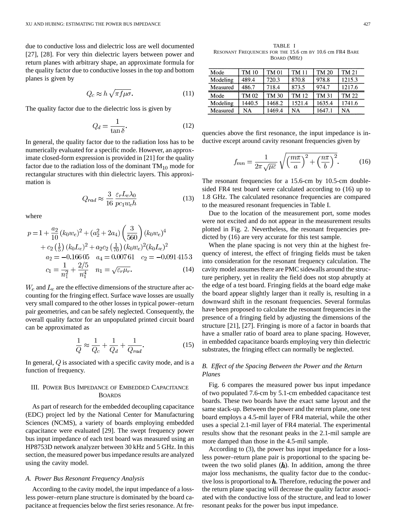due to conductive loss and dielectric loss are well documented [27], [28]. For very thin dielectric layers between power and return planes with arbitrary shape, an approximate formula for the quality factor due to conductive losses in the top and bottom planes is given by

$$
Q_c \approx h \sqrt{\pi f \mu \sigma}.
$$
 (11)

The quality factor due to the dielectric loss is given by

$$
Q_d = \frac{1}{\tan \delta}.\tag{12}
$$

In general, the quality factor due to the radiation loss has to be numerically evaluated for a specific mode. However, an approximate closed-form expression is provided in [21] for the quality factor due to the radiation loss of the dominant  $TM_{10}$  mode for rectangular structures with thin dielectric layers. This approximation is

$$
Q_{rad} \approx \frac{3}{16} \frac{\varepsilon_r L_e \lambda_0}{pc_1 w_e h}
$$
 (13)

where

$$
p = 1 + \frac{a_2}{10} (k_0 w_e)^2 + (a_2^2 + 2a_4) \left(\frac{3}{560}\right) (k_0 w_e)^4
$$
  
+  $c_2 \left(\frac{1}{5}\right) (k_0 L_e)^2 + a_2 c_2 \left(\frac{1}{70}\right) (k_0 w_e)^2 (k_0 L_e)^2$   
 $a_2 = -0.16605 \quad a_4 = 0.00761 \quad c_2 = -0.0914153$   
 $c_1 = \frac{1}{n_1^2} + \frac{2/5}{n_1^4} \quad n_1 = \sqrt{\varepsilon_r \mu_r}.$  (14)

 $W_e$  and  $L_e$  are the effective dimensions of the structure after accounting for the fringing effect. Surface wave losses are usually very small compared to the other losses in typical power–return pair geometries, and can be safely neglected. Consequently, the overall quality factor for an unpopulated printed circuit board can be approximated as

$$
\frac{1}{Q} \approx \frac{1}{Q_c} + \frac{1}{Q_d} + \frac{1}{Q_{rad}}.\tag{15}
$$

In general,  $Q$  is associated with a specific cavity mode, and is a function of frequency.

### III. POWER BUS IMPEDANCE OF EMBEDDED CAPACITANCE BOARDS

As part of research for the embedded decoupling capacitance (EDC) project led by the National Center for Manufacturing Sciences (NCMS), a variety of boards employing embedded capacitance were evaluated [29]. The swept frequency power bus input impedance of each test board was measured using an HP8753D network analyzer between 30 kHz and 5 GHz. In this section, the measured power bus impedance results are analyzed using the cavity model.

#### *A. Power Bus Resonant Frequency Analysis*

According to the cavity model, the input impedance of a lossless power–return plane structure is dominated by the board capacitance at frequencies below the first series resonance. At fre-

TABLE I RESONANT FREQUENCIES FOR THE 15.6 cm BY 10.6 cm FR4 BARE BOARD (MHZ)

| Mode     | TM 10  | TM 01        | TM 11  | TM 20  | TM 21  |
|----------|--------|--------------|--------|--------|--------|
| Modeling | 489.4  | 720.3        | 870.8  | 978.8  | 1215.3 |
| Measured | 486.7  | 718.4        | 873.5  | 974.7  | 1217.6 |
| Mode     | TM 02  | <b>TM 30</b> | TM 12  | TM 31  | TM 22  |
|          |        |              |        |        |        |
| Modeling | 1440.5 | 1468.2       | 1521.4 | 1635.4 | 1741.6 |

quencies above the first resonance, the input impedance is inductive except around cavity resonant frequencies given by

$$
f_{mn} = \frac{1}{2\pi\sqrt{\mu\varepsilon}}\sqrt{\left(\frac{m\pi}{a}\right)^2 + \left(\frac{n\pi}{b}\right)^2}.
$$
 (16)

The resonant frequencies for a 15.6-cm by 10.5-cm doublesided FR4 test board were calculated according to (16) up to 1.8 GHz. The calculated resonance frequencies are compared to the measured resonant frequencies in Table I.

Due to the location of the measurement port, some modes were not excited and do not appear in the measurement results plotted in Fig. 2. Nevertheless, the resonant frequencies predicted by (16) are very accurate for this test sample.

When the plane spacing is not very thin at the highest frequency of interest, the effect of fringing fields must be taken into consideration for the resonant frequency calculation. The cavity model assumes there are PMC sidewalls around the structure periphery, yet in reality the field does not stop abruptly at the edge of a test board. Fringing fields at the board edge make the board appear slightly larger than it really is, resulting in a downward shift in the resonant frequencies. Several formulas have been proposed to calculate the resonant frequencies in the presence of a fringing field by adjusting the dimensions of the structure [21], [27]. Fringing is more of a factor in boards that have a smaller ratio of board area to plane spacing. However, in embedded capacitance boards employing very thin dielectric substrates, the fringing effect can normally be neglected.

#### *B. Effect of the Spacing Between the Power and the Return Planes*

Fig. 6 compares the measured power bus input impedance of two populated 7.6-cm by 5.1-cm embedded capacitance test boards. These two boards have the exact same layout and the same stack-up. Between the power and the return plane, one test board employs a 4.5-mil layer of FR4 material, while the other uses a special 2.1-mil layer of FR4 material. The experimental results show that the resonant peaks in the 2.1-mil sample are more damped than those in the 4.5-mil sample.

According to (3), the power bus input impedance for a lossless power–return plane pair is proportional to the spacing between the two solid planes  $(h)$ . In addition, among the three major loss mechanisms, the quality factor due to the conductive loss is proportional to  $h$ . Therefore, reducing the power and the return plane spacing will decrease the quality factor associated with the conductive loss of the structure, and lead to lower resonant peaks for the power bus input impedance.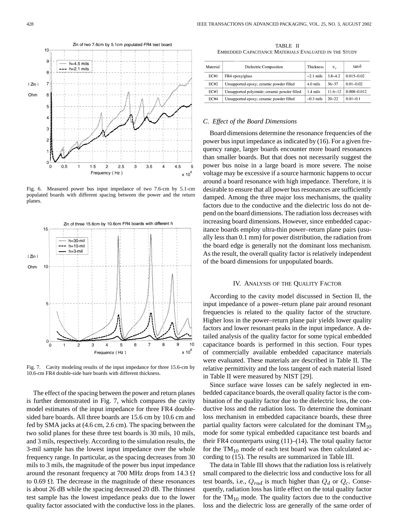

Fig. 6. Measured power bus input impedance of two 7.6-cm by 5.1-cm populated boards with different spacing between the power and the return planes.



Fig. 7. Cavity modeling results of the input impedance for three 15.6-cm by 10.6-cm FR4 double-side bare boards with different thickness.

The effect of the spacing between the power and return planes is further demonstrated in Fig. 7, which compares the cavity model estimates of the input impedance for three FR4 doublesided bare boards. All three boards are 15.6 cm by 10.6 cm and fed by SMA jacks at (4.6 cm, 2.6 cm). The spacing between the two solid planes for these three test boards is 30 mils, 10 mils, and 3 mils, respectively. According to the simulation results, the 3-mil sample has the lowest input impedance over the whole frequency range. In particular, as the spacing decreases from 30 mils to 3 mils, the magnitude of the power bus input impedance around the resonant frequency at 700 MHz drops from 14.3  $\Omega$ to 0.69  $\Omega$ . The decrease in the magnitude of these resonances is about 26 dB while the spacing decreased 20 dB. The thinnest test sample has the lowest impedance peaks due to the lower quality factor associated with the conductive loss in the planes.

TABLE II EMBEDDED CAPACITANCE MATERIALS EVALUATED IN THE STUDY

| Material    | Dielectric Composition                       | <b>Thickness</b> | ε.           | tanδ            |
|-------------|----------------------------------------------|------------------|--------------|-----------------|
| EC#1        | FR4 epoxy/glass                              | $\sim$ 2.1 mils  | $3.8 - 4.2$  | $0.015 - 0.02$  |
| EC#2        | Unsupported epoxy; ceramic powder filled     | $4.0$ mils       | $36 - 37$    | $0.01 - 0.02$   |
| <b>EC#3</b> | Unsupported polyimide; ceramic powder filled | 1.4 mils         | $11.6 - 12.$ | $0.008 - 0.012$ |
| EC#4        | Unsupported epoxy; ceramic powder filled     | $\sim 0.3$ mils  | $20 - 22$    | $0.01 - 0.1$    |

#### *C. Effect of the Board Dimensions*

Board dimensions determine the resonance frequencies of the power bus input impedance as indicated by (16). For a given frequency range, larger boards encounter more board resonances than smaller boards. But that does not necessarily suggest the power bus noise in a large board is more severe. The noise voltage may be excessive if a source harmonic happens to occur around a board resonance with high impedance. Therefore, it is desirable to ensure that all power bus resonances are sufficiently damped. Among the three major loss mechanisms, the quality factors due to the conductive and the dielectric loss do not depend on the board dimensions. The radiation loss decreases with increasing board dimensions. However, since embedded capacitance boards employ ultra-thin power–return plane pairs (usually less than 0.1 mm) for power distribution, the radiation from the board edge is generally not the dominant loss mechanism. As the result, the overall quality factor is relatively independent of the board dimensions for unpopulated boards.

#### IV. ANALYSIS OF THE QUALITY FACTOR

According to the cavity model discussed in Section II, the input impedance of a power–return plane pair around resonant frequencies is related to the quality factor of the structure. Higher loss in the power–return plane pair yields lower quality factors and lower resonant peaks in the input impedance. A detailed analysis of the quality factor for some typical embedded capacitance boards is performed in this section. Four types of commercially available embedded capacitance materials were evaluated. These materials are described in Table II. The relative permittivity and the loss tangent of each material listed in Table II were measured by NIST [29].

Since surface wave losses can be safely neglected in embedded capacitance boards, the overall quality factor is the combination of the quality factor due to the dielectric loss, the conductive loss and the radiation loss. To determine the dominant loss mechanism in embedded capacitance boards, these three partial quality factors were calculated for the dominant  $TM_{10}$ mode for some typical embedded capacitance test boards and their FR4 counterparts using  $(11)–(14)$ . The total quality factor for the  $TM_{10}$  mode of each test board was then calculated according to (15). The results are summarized in Table III.

The data in Table III shows that the radiation loss is relatively small compared to the dielectric loss and conductive loss for all test boards, i.e.,  $Q_{rad}$  is much higher than  $Q_d$  or  $Q_c$ . Consequently, radiation loss has little effect on the total quality factor for the  $TM_{10}$  mode. The quality factors due to the conductive loss and the dielectric loss are generally of the same order of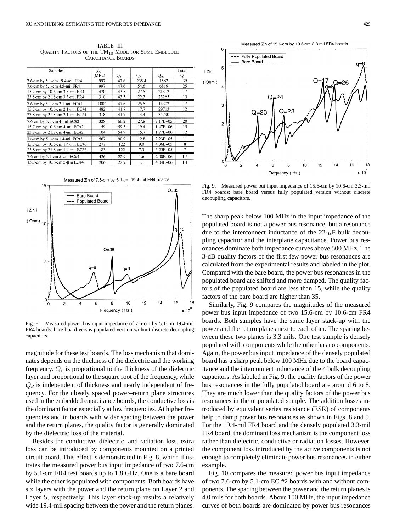TABLE III QUALITY FACTORS OF THE  $TM_{10}$  MODE FOR SOME EMBEDDED CAPACITANCE BOARDS

| Samples                         | fio   |       |       |               | Total          |
|---------------------------------|-------|-------|-------|---------------|----------------|
|                                 | (MHz) | $Q_d$ | $Q_c$ | $Q_{rad}$     |                |
| 7.6-cm by 5.1-cm 19.4-mil FR4   | 997   | 47.6  | 235.4 | 1582          | 39             |
| 7.6-cm by 5.1-cm 4.5-mil FR4    | 997   | 47.6  | 54.6  | 6819          | 25             |
| 15.7-cm by 10.6-cm 3.3-mil FR4  | 470   | 43.5  | 27.5  | 21312         | 17             |
| 23.8-cm by 21.8-cm 3.3-mil FR4  | 310   | 43.5  | 22.3  | 25265         | 15             |
| 7.6-cm by 5.1-cm 2.1-mil EC#1   | 1002  | 47.6  | 25.5  | 14302         | 17             |
| 15.7-cm by 10.6-cm 2.1-mil EC#1 | 482   | 41.7  | 17.7  | 29713         | 12             |
| 23.8-cm by 21.8-cm 2.1-mil EC#1 | 318   | 41.7  | 14.4  | 35790         | 11             |
| 7.6-cm by 5.1-cm 4-mil EC#2     | 328   | 66.2  | 27.8  | 7.17E+05      | 20             |
| 15.7-cm by 10.6-cm 4-mil EC#2   | 159   | 59.5  | 19.4  | $1.47E + 06$  | 15             |
| 23.8-cm by 21.8-cm 4-mil EC#2   | 104   | 54.9  | 15.7  | $1.77E + 06$  | 12             |
| 7.6-cm by 5.1-cm 1.4-mil EC#3   | 567   | 90.9  | 12.8  | $2.23E + 0.5$ | 11             |
| 15.7-cm by 10.6-cm 1.4-mil EC#3 | 277   | 122   | 9.0   | $4.36E + 0.5$ | 8              |
| 23.8-cm by 21.8-cm 1.4-mil EC#3 | 183   | 122   | 7.3   | $5.25E + 0.5$ | $\overline{7}$ |
| 7.6-cm by 5.1-cm 5-um EC#4      | 426   | 22.9  | 1.6   | $2.00E + 06$  | 1.5            |
| 15.7-cm by 10.6-cm 5-um EC#4    | 206   | 22.9  | 1.1   | $4.04E + 06$  | 1.1            |

Measured Zin of 7.6-cm by 5.1-cm 19.4-mil FR4 boards



Fig. 8. Measured power bus input impedance of 7.6-cm by 5.1-cm 19.4-mil FR4 boards: bare board versus populated version without discrete decoupling capacitors.

magnitude for these test boards. The loss mechanism that dominates depends on the thickness of the dielectric and the working frequency.  $Q_c$  is proportional to the thickness of the dielectric layer and proportional to the square root of the frequency, while  $Q_d$  is independent of thickness and nearly independent of frequency. For the closely spaced power–return plane structures used in the embedded capacitance boards, the conductive loss is the dominant factor especially at low frequencies. At higher frequencies and in boards with wider spacing between the power and the return planes, the quality factor is generally dominated by the dielectric loss of the material.

Besides the conductive, dielectric, and radiation loss, extra loss can be introduced by components mounted on a printed circuit board. This effect is demonstrated in Fig. 8, which illustrates the measured power bus input impedance of two 7.6-cm by 5.1-cm FR4 test boards up to 1.8 GHz. One is a bare board while the other is populated with components. Both boards have six layers with the power and the return plane on Layer 2 and Layer 5, respectively. This layer stack-up results a relatively wide 19.4-mil spacing between the power and the return planes.





Fig. 9. Measured power but input impedance of 15.6-cm by 10.6-cm 3.3-mil FR4 boards: bare board versus fully populated version without discrete decoupling capacitors.

The sharp peak below 100 MHz in the input impedance of the populated board is not a power bus resonance, but a resonance due to the interconnect inductance of the  $22-\mu$ F bulk decoupling capacitor and the interplane capacitance. Power bus resonances dominate both impedance curves above 500 MHz. The 3-dB quality factors of the first few power bus resonances are calculated from the experimental results and labeled in the plot. Compared with the bare board, the power bus resonances in the populated board are shifted and more damped. The quality factors of the populated board are less than 15, while the quality factors of the bare board are higher than 35.

Similarly, Fig. 9 compares the magnitudes of the measured power bus input impedance of two 15.6-cm by 10.6-cm FR4 boards. Both samples have the same layer stack-up with the power and the return planes next to each other. The spacing between these two planes is 3.3 mils. One test sample is densely populated with components while the other has no components. Again, the power bus input impedance of the densely populated board has a sharp peak below 100 MHz due to the board capacitance and the interconnect inductance of the 4 bulk decoupling capacitors. As labeled in Fig. 9, the quality factors of the power bus resonances in the fully populated board are around 6 to 8. They are much lower than the quality factors of the power bus resonances in the unpopulated sample. The addition losses introduced by equivalent series resistance (ESR) of components help to damp power bus resonances as shown in Figs. 8 and 9. For the 19.4-mil FR4 board and the densely populated 3.3-mil FR4 board, the dominant loss mechanism is the component loss rather than dielectric, conductive or radiation losses. However, the component loss introduced by the active components is not enough to completely eliminate power bus resonances in either example.

Fig. 10 compares the measured power bus input impedance of two 7.6-cm by 5.1-cm EC #2 boards with and without components. The spacing between the power and the return planes is 4.0 mils for both boards. Above 100 MHz, the input impedance curves of both boards are dominated by power bus resonances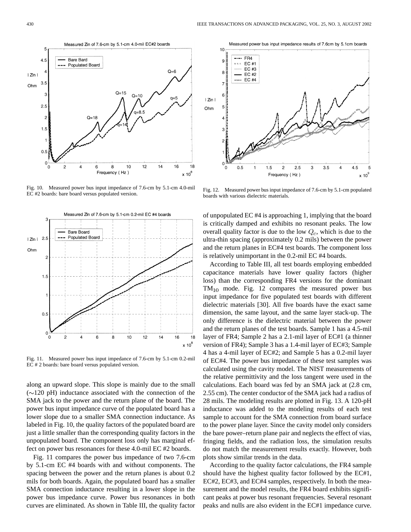Fig. 10. Measured power bus input impedance of 7.6-cm by 5.1-cm 4.0-mil EC #2 boards: bare board versus populated version.

Measured ZIn of 7.6-cm by 5.1-cm 0.2-mil EC #4 boards Я **Bare Board** Populated Board I Zin I  $\mathcal{P}$ Ohn  $1.5$  $0.5$  $\mathbf 0$ 8 10  $12$ 16 18  $\mathbf 0$  $14$  $x 10^8$ 

Fig. 11. Measured power bus input impedance of 7.6-cm by 5.1-cm 0.2-mil EC # 2 boards: bare board versus populated version.

along an upward slope. This slope is mainly due to the small  $(\sim 120 \text{ pH})$  inductance associated with the connection of the SMA jack to the power and the return plane of the board. The power bus input impedance curve of the populated board has a lower slope due to a smaller SMA connection inductance. As labeled in Fig. 10, the quality factors of the populated board are just a little smaller than the corresponding quality factors in the unpopulated board. The component loss only has marginal effect on power bus resonances for these 4.0-mil EC #2 boards.

Fig. 11 compares the power bus impedance of two 7.6-cm by 5.1-cm EC #4 boards with and without components. The spacing between the power and the return planes is about 0.2 mils for both boards. Again, the populated board has a smaller SMA connection inductance resulting in a lower slope in the power bus impedance curve. Power bus resonances in both curves are eliminated. As shown in Table III, the quality factor

Fig. 12. Measured power bus input impedance of 7.6-cm by 5.1-cm populated boards with various dielectric materials.

of unpopulated EC #4 is approaching 1, implying that the board is critically damped and exhibits no resonant peaks. The low overall quality factor is due to the low  $Q_c$ , which is due to the ultra-thin spacing (approximately 0.2 mils) between the power and the return planes in EC#4 test boards. The component loss is relatively unimportant in the 0.2-mil EC #4 boards.

According to Table III, all test boards employing embedded capacitance materials have lower quality factors (higher loss) than the corresponding FR4 versions for the dominant  $TM_{10}$  mode. Fig. 12 compares the measured power bus input impedance for five populated test boards with different dielectric materials [30]. All five boards have the exact same dimension, the same layout, and the same layer stack-up. The only difference is the dielectric material between the power and the return planes of the test boards. Sample 1 has a 4.5-mil layer of FR4; Sample 2 has a 2.1-mil layer of EC#1 (a thinner version of FR4); Sample 3 has a 1.4-mil layer of EC#3; Sample 4 has a 4-mil layer of EC#2; and Sample 5 has a 0.2-mil layer of EC#4. The power bus impedance of these test samples was calculated using the cavity model. The NIST measurements of the relative permittivity and the loss tangent were used in the calculations. Each board was fed by an SMA jack at (2.8 cm, 2.55 cm). The center conductor of the SMA jack had a radius of 28 mils. The modeling results are plotted in Fig. 13. A 120-pH inductance was added to the modeling results of each test sample to account for the SMA connection from board surface to the power plane layer. Since the cavity model only considers the bare power–return plane pair and neglects the effect of vias, fringing fields, and the radiation loss, the simulation results do not match the measurement results exactly. However, both plots show similar trends in the data.

According to the quality factor calculations, the FR4 sample should have the highest quality factor followed by the EC#1, EC#2, EC#3, and EC#4 samples, respectively. In both the measurement and the model results, the FR4 board exhibits significant peaks at power bus resonant frequencies. Several resonant peaks and nulls are also evident in the EC#1 impedance curve.



Measured Zin of 7.6-cm by 5.1-cm 4.0-mil EC#2 boards



 $\sqrt{2}$ 

Measured power bus input impedance results of 7.6cm by 5.1cm boards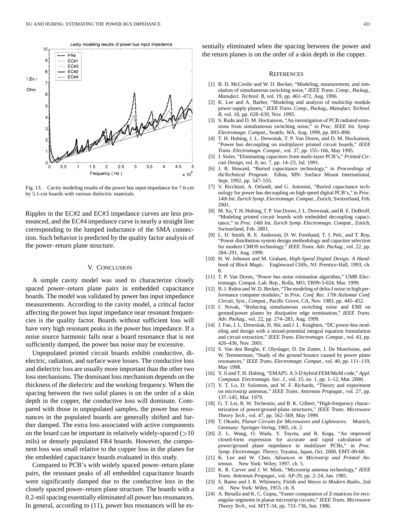

Fig. 13. Cavity modeling results of the power bus input impedance for 7.6-cm by 5.1-cm boards with various dielectric materials.

Ripples in the EC#2 and EC#3 impedance curves are less pronounced, and the EC#4 impedance curve is nearly a straight line corresponding to the lumped inductance of the SMA connection. Such behavior is predicted by the quality factor analysis of the power–return plane structure.

#### V. CONCLUSION

A simple cavity model was used to characterize closely spaced power–return plane pairs in embedded capacitance boards. The model was validated by power bus input impedance measurements. According to the cavity model, a critical factor affecting the power bus input impedance near resonant frequencies is the quality factor. Boards without sufficient loss will have very high resonant peaks in the power bus impedance. If a noise source harmonic falls near a board resonance that is not sufficiently damped, the power bus noise may be excessive.

Unpopulated printed circuit boards exhibit conductive, dielectric, radiation, and surface wave losses. The conductive loss and dielectric loss are usually more important than the other two loss mechanisms. The dominant loss mechanism depends on the thickness of the dielectric and the working frequency. When the spacing between the two solid planes is on the order of a skin depth in the copper, the conductive loss will dominate. Compared with those in unpopulated samples, the power bus resonances in the populated boards are generally shifted and further damped. The extra loss associated with active components on the board can be important in relatively widely-spaced  $($ >10 mils) or densely populated FR4 boards. However, the component loss was small relative to the copper loss in the planes for the embedded capacitance boards evaluated in this study.

Compared to PCB's with widely spaced power–return plane pairs, the resonant peaks of all embedded capacitance boards were significantly damped due to the conductive loss in the closely spaced power–return plane structure. The boards with a 0.2-mil spacing essentially eliminated all power bus resonances. In general, according to (11), power bus resonances will be essentially eliminated when the spacing between the power and the return planes is on the order of a skin depth in the copper.

#### **REFERENCES**

- [1] B. D. McCredie and W. D. Becker, "Modeling, measurement, and simulation of simultaneous switching noise," *IEEE Trans. Comp., Packag., Manufact. Technol. B*, vol. 19, pp. 461–472, Aug. 1996.
- [2] K. Lee and A. Barber, "Modeling and analysis of multichip module power supply planes," *IEEE Trans. Comp., Packag., Manufact. Technol. B*, vol. 18, pp. 628–639, Nov. 1995.
- [3] S. Radu and D. M. Hockanson, "An investigation of PCB radiated emissions from simultaneous switching noise," in *Proc. IEEE Int. Symp. Electromagn. Compat.*, Seattle, WA, Aug. 1999, pp. 893–898.
- [4] T. H. Hubing, J. L. Drewniak, T. P. Van Doren, and D. M. Hockanson, "Power bus decoupling on multiplayer printed circuit boards," *IEEE Trans. Electromagn. Compat.*, vol. 37, pp. 155–166, May 1995.
- [5] J. Sisler, "Eliminating capacitors from multi-layer PCB's," *Printed Circuit Design*, vol. 8, no. 7, pp. 14–23, Jul. 1991.
- [6] J. R. Howard, "Buried capacitance technology," in *Proceedings of theTechnical Program*. Edina, MN: Surface Mount International, Sept. 1992, pp. 547–555.
- [7] V. Ricchiuti, A. Orlandi, and G. Antonini, "Buried capacitance technology for power bus decoupling on high speed digital PCB's," in *Proc. 14th Int. Zurich Symp. Electromagn. Compat.*, Zurich, Switzerland, Feb. 2001.
- [8] M. Xu, T. H. Hubing, T. P. Van Doren, J. L. Drewniak, and R. E. DuBroff, "Modeling printed circuit boards with embedded decoupling capacitance," in *Proc. 14th Int. Zurich Symp. Electromagn. Compat.*, Zurich, Switzerland, Feb. 2001.
- [9] L. D. Smith, R. E. Anderson, D. W. Forehand, T. J. Pelc, and T. Roy, "Power distribution system design methodology and capacitor selection for modern CMOS technology," *IEEE Trans. Adv. Packag.*, vol. 22, pp. 284–291, Aug. 1999.
- [10] H. W. Johnson and M. Graham, *High-Speed Digital Design: A Handbook of Black Magic*. Englewood Cliffs, NJ: Prentice-Hall, 1993, ch. 8.
- [11] T. P. Van Doren, "Power bus noise estimation algorithm," UMR Electromagn. Compat. Lab. Rep., Rolla, MO, TR99-3-024, Mar. 1999.
- [12] B. J. Rubin and W. D. Becker, "The modeling of delta-I noise in high performance computer modules," in *Proc. Conf. Rec. 17th Asilomar Conf. Circuit, Syst., Comput.*, Pacific Grove, CA, Nov. 1983, pp. 445–452.
- [13] I. Novak, "Reducing simultaneous switching noise and EMI on ground/power planes by dissipative edge termination," *IEEE Trans. Adv. Packag.*, vol. 22, pp. 274–283, Aug. 1999.
- [14] J. Fan, J. L. Drewniak, H. Shi, and J. L. Knighten, "DC power-bus modeling and design with a mixed-potential integral equation formulation and circuit extraction," *IEEE Trans. Electromagn. Compat.*, vol. 43, pp. 426–436, Nov. 2001.
- [15] S. Van den Berghe, F. Olyslager, D. De Zutter, J. De Moerloose, and W. Temmerman, "Study of the ground bounce caused by power plane resonances," *IEEE Trans. Electromagn. Compat.*, vol. 40, pp. 111–119, May 1998.
- [16] Y. Ji and T. H. Hubing, "EMAP5: A 3-D hybrid FEM/MoM code," *Appl. Computat. Electromagn. Soc. J.*, vol. 15, no. 1, pp. 1–12, Mar. 2000.
- [17] Y. T. Lo, D. Solomon, and W. F. Richards, "Theory and experiment on microstrip antennas," *IEEE Trans. Antennas Propagat.*, vol. 27, pp. 137–145, Mar. 1979.
- [18] G. T. Lei, R. W. Techentin, and B. K. Gilbert, "High-frequency characterization of power/ground-plane structures," *IEEE Trans. Microwave Theory Tech.*, vol. 47, pp. 562–569, May 1999.
- [19] T. Okoshi, *Planar Circuits for Microwaves and Lightwaves*. Munich, Germany: Springer-Verlag, 1985, ch. 2.
- [20] Z. L. Wang, O. Wada, Y. Toyota, and R. Koga, "An improved closed-form expression for accurate and rapid calculation of power/ground plane impedance in multilayer PCBs," in *Proc. Symp. Electromagn. Theory*, Toyama, Japan, Oct. 2000, EMT-00-68.
- [21] K. Lee and W. Chen, *Advances in Microstrip and Printed Antennas*. New York: Wiley, 1997, ch. 5.
- [22] K. R. Carver and J. W. Mink, "Microstrip antenna technology," *IEEE Trans. Antennas Propagat.*, vol. AP-29, pp. 2–24, Jan. 1981.
- [23] S. Ramo and J. R. Whinnery, *Fields and Waves in Modern Radio*, 2nd ed. New York: Wiley, 1953, ch. 8.
- [24] A. Benalla and K. C. Gupta, "Faster computation of Z-matrices for rectangular segments in planar microstrip circuits," *IEEE Trans. Microwave Theory Tech.*, vol. MTT-34, pp. 733–736, Jun. 1986.